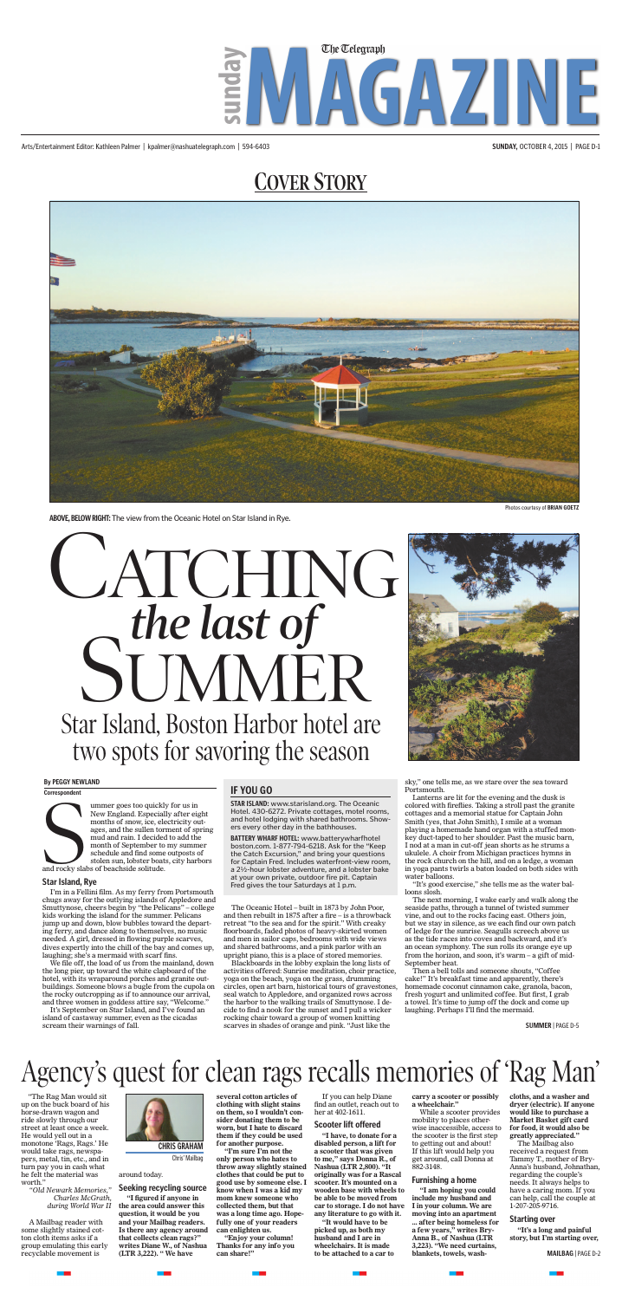# **COVER STORY**

Arts/Entertainment Editor: Kathleen Palmer | kpalmer@nashuatelegraph.com | 594-6403 **SUNDAY,** OCTOBER 4, 2015 | PAGE D-1



# Agency's quest for clean rags recalls memories of 'Rag Man'

"The Rag Man would sit up on the buck board of his horse-drawn wagon and ride slowly through our street at least once a week. He would yell out in a monotone 'Rags, Rags.' He would take rags, newspapers, metal, tin, etc., and in turn pay you in cash what he felt the material was worth."

*"Old Newark Memories," Charles McGrath, during World War II*

A Mailbag reader with some slightly stained cotton cloth items asks if a group emulating this early recyclable movement is



### around today.

### **Seeking recycling source**

**"I figured if anyone in the area could answer this question, it would be you and your Mailbag readers. Is there any agency around that collects clean rags?" writes Diane W., of Nashua (LTR 3,222). " We have** 

**several cotton articles of clothing with slight stains on them, so I wouldn't consider donating them to be worn, but I hate to discard them if they could be used for another purpose.**

**"I'm sure I'm not the only person who hates to throw away slightly stained clothes that could be put to good use by someone else. I know when I was a kid my mom knew someone who collected them, but that was a long time ago. Hopefully one of your readers can enlighten us.**

**"Enjoy your column! Thanks for any info you can share!"**

If you can help Diane find an outlet, reach out to her at 402-1611.

### **Scooter lift offered**

Software pointed and rocky slat ummer goes too quickly for us in New England. Especially after eight months of snow, ice, electricity outages, and the sullen torment of spring mud and rain. I decided to add the month of September to my summer schedule and find some outposts of stolen sun, lobster boats, city harbors and rocky slabs of beachside solitude.

> **"I have, to donate for a disabled person, a lift for a scooter that was given to me," says Donna R., of Nashua (LTR 2,800). "It originally was for a Rascal scooter. It's mounted on a wooden base with wheels to be able to be moved from car to storage. I do not have any literature to go with it.**

**"It would have to be picked up, as both my husband and I are in wheelchairs. It is made to be attached to a car to** 

**carry a scooter or possibly a wheelchair."**

While a scooter provides mobility to places otherwise inaccessible, access to the scooter is the first step to getting out and about! If this lift would help you get around, call Donna at 882-3148.

### **Furnishing a home**

**"I am hoping you could include my husband and I in your column. We are moving into an apartment ... after being homeless for a few years," writes Bry-Anna B., of Nashua (LTR 3,223). "We need curtains, blankets, towels, wash-** **cloths, and a washer and dryer (electric). If anyone would like to purchase a Market Basket gift card for food, it would also be greatly appreciated."**

The Mailbag also received a request from Tammy T., mother of Bry-Anna's husband, Johnathan, regarding the couple's needs. It always helps to have a caring mom. If you can help, call the couple at 1-207-205-9716.

### **Starting over**

**"It's a long and painful story, but I'm starting over,** 

### **CHRIS GRAHAM**

Chris' Mailbag

**MAILBAG** | PAGE D-2



**ABOVE, BELOW RIGHT:** The view from the Oceanic Hotel on Star Island in Rye.

### **Star Island, Rye**

I'm in a Fellini film. As my ferry from Portsmouth chugs away for the outlying islands of Appledore and Smuttynose, cheers begin by "the Pelicans" – college kids working the island for the summer. Pelicans jump up and down, blow bubbles toward the departing ferry, and dance along to themselves, no music needed. A girl, dressed in flowing purple scarves, dives expertly into the chill of the bay and comes up, laughing; she's a mermaid with scarf fins.

STAR ISLAND: www.starisland.org. The Oceanic Hotel. 430-6272. Private cottages, motel rooms, Hotel. 430-6272. Private cottages, motel rooms, and hotel lodging with shared bathrooms. Show-and hotel lodging with shared bathrooms. Showers every other day in the bathhouses. ers every other day in the bathhouses.

BATTERY WHARF HOTEL: www.batterywharfhotel boston.com. 1-877-794-6218. Ask for the "Keep boston.com. 1-877-794-6218. Ask for the "Keep the Catch Excursion," and bring your questions the Catch Excursion," and bring your questions for Captain Fred. Includes waterfront-view room, for Captain Fred. Includes waterfront-view room, a 2½-hour lobster adventure, and a lobster bake a 2V2-hour lobster adventure, and a lobster bake at your own private, outdoor fire pit. Captain Fred gives the tour Saturdays at 1 p.m. Fred gives the tour Saturdays at 1 p.m.

We file off, the load of us from the mainland, down the long pier, up toward the white clapboard of the hotel, with its wraparound porches and granite outbuildings. Someone blows a bugle from the cupola on the rocky outcropping as if to announce our arrival, and three women in goddess attire say, "Welcome."

It's September on Star Island, and I've found an island of castaway summer, even as the cicadas scream their warnings of fall.

The Oceanic Hotel – built in 1873 by John Poor, and then rebuilt in 1875 after a fire – is a throwback retreat "to the sea and for the spirit." With creaky floorboards, faded photos of heavy-skirted women and men in sailor caps, bedrooms with wide views and shared bathrooms, and a pink parlor with an upright piano, this is a place of stored memories.

Blackboards in the lobby explain the long lists of activities offered: Sunrise meditation, choir practice, yoga on the beach, yoga on the grass, drumming circles, open art barn, historical tours of gravestones, seal watch to Appledore, and organized rows across the harbor to the walking trails of Smuttynose. I decide to find a nook for the sunset and I pull a wicker rocking chair toward a group of women knitting scarves in shades of orange and pink. "Just like the



sky," one tells me, as we stare over the sea toward Portsmouth.

Lanterns are lit for the evening and the dusk is colored with fireflies. Taking a stroll past the granite cottages and a memorial statue for Captain John Smith (yes, that John Smith), I smile at a woman playing a homemade hand organ with a stuffed monkey duct-taped to her shoulder. Past the music barn, I nod at a man in cut-off jean shorts as he strums a ukulele. A choir from Michigan practices hymns in the rock church on the hill, and on a ledge, a woman in yoga pants twirls a baton loaded on both sides with water balloons.

"It's good exercise," she tells me as the water balloons slosh.

The next morning, I wake early and walk along the seaside paths, through a tunnel of twisted summer vine, and out to the rocks facing east. Others join, but we stay in silence, as we each find our own patch of ledge for the sunrise. Seagulls screech above us as the tide races into coves and backward, and it's an ocean symphony. The sun rolls its orange eye up from the horizon, and soon, it's warm – a gift of mid-September heat.

Then a bell tolls and someone shouts, "Coffee cake!" It's breakfast time and apparently, there's homemade coconut cinnamon cake, granola, bacon, fresh yogurt and unlimited coffee. But first, I grab a towel. It's time to jump off the dock and come up laughing. Perhaps I'll find the mermaid.

### **By PEGGY NEWLAND**

**Correspondent**

# Star Island, Boston Harbor hotel are two spots for savoring the season





### **IF YOU GO**

**SUMMER** | PAGE D-5